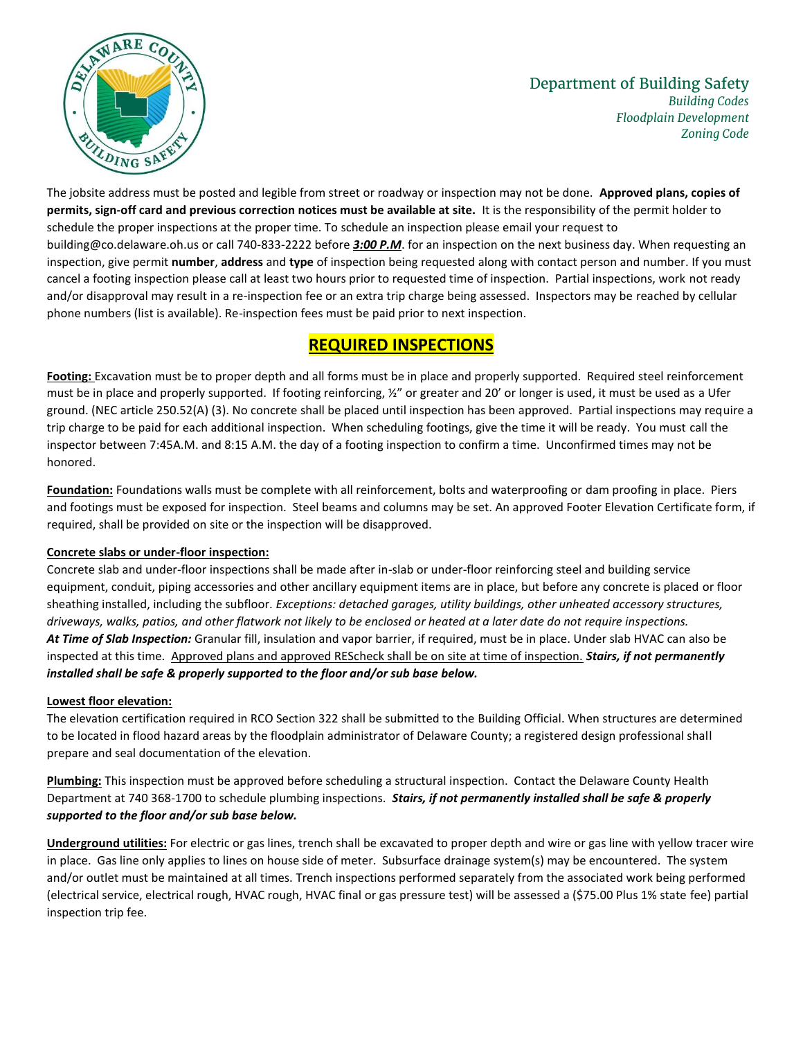



The jobsite address must be posted and legible from street or roadway or inspection may not be done. **Approved plans, copies of permits, sign-off card and previous correction notices must be available at site.** It is the responsibility of the permit holder to schedule the proper inspections at the proper time. To schedule an inspection please email your request to building@co.delaware.oh.us or call 740-833-2222 before *3:00 P.M*. for an inspection on the next business day. When requesting an inspection, give permit **number**, **address** and **type** of inspection being requested along with contact person and number. If you must cancel a footing inspection please call at least two hours prior to requested time of inspection. Partial inspections, work not ready and/or disapproval may result in a re-inspection fee or an extra trip charge being assessed. Inspectors may be reached by cellular phone numbers (list is available). Re-inspection fees must be paid prior to next inspection.

# **REQUIRED INSPECTIONS**

**Footing:** Excavation must be to proper depth and all forms must be in place and properly supported. Required steel reinforcement must be in place and properly supported. If footing reinforcing, ½" or greater and 20' or longer is used, it must be used as a Ufer ground. (NEC article 250.52(A) (3). No concrete shall be placed until inspection has been approved. Partial inspections may require a trip charge to be paid for each additional inspection. When scheduling footings, give the time it will be ready. You must call the inspector between 7:45A.M. and 8:15 A.M. the day of a footing inspection to confirm a time. Unconfirmed times may not be honored.

**Foundation:** Foundations walls must be complete with all reinforcement, bolts and waterproofing or dam proofing in place. Piers and footings must be exposed for inspection. Steel beams and columns may be set. An approved Footer Elevation Certificate form, if required, shall be provided on site or the inspection will be disapproved.

## **Concrete slabs or under-floor inspection:**

Concrete slab and under-floor inspections shall be made after in-slab or under-floor reinforcing steel and building service equipment, conduit, piping accessories and other ancillary equipment items are in place, but before any concrete is placed or floor sheathing installed, including the subfloor. *Exceptions: detached garages, utility buildings, other unheated accessory structures, driveways, walks, patios, and other flatwork not likely to be enclosed or heated at a later date do not require inspections. At Time of Slab Inspection:* Granular fill, insulation and vapor barrier, if required, must be in place. Under slab HVAC can also be inspected at this time. Approved plans and approved REScheck shall be on site at time of inspection. *Stairs, if not permanently installed shall be safe & properly supported to the floor and/or sub base below.*

## **Lowest floor elevation:**

The elevation certification required in RCO Section 322 shall be submitted to the Building Official. When structures are determined to be located in flood hazard areas by the floodplain administrator of Delaware County; a registered design professional shall prepare and seal documentation of the elevation.

**Plumbing:** This inspection must be approved before scheduling a structural inspection. Contact the Delaware County Health Department at 740 368-1700 to schedule plumbing inspections. *Stairs, if not permanently installed shall be safe & properly supported to the floor and/or sub base below.*

**Underground utilities:** For electric or gas lines, trench shall be excavated to proper depth and wire or gas line with yellow tracer wire in place. Gas line only applies to lines on house side of meter. Subsurface drainage system(s) may be encountered. The system and/or outlet must be maintained at all times. Trench inspections performed separately from the associated work being performed (electrical service, electrical rough, HVAC rough, HVAC final or gas pressure test) will be assessed a (\$75.00 Plus 1% state fee) partial inspection trip fee.